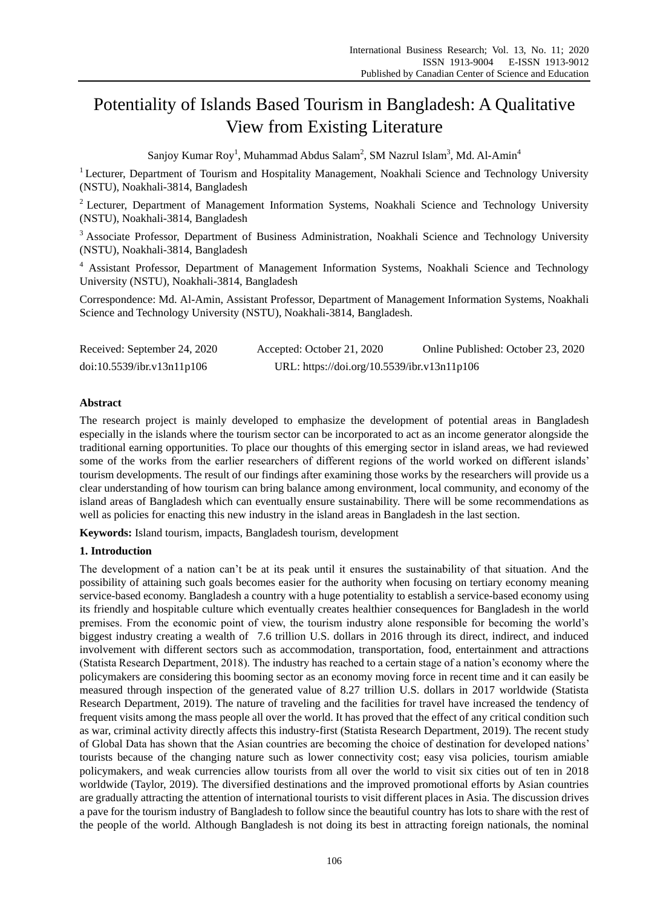# Potentiality of Islands Based Tourism in Bangladesh: A Qualitative View from Existing Literature

Sanjoy Kumar Roy<sup>1</sup>, Muhammad Abdus Salam<sup>2</sup>, SM Nazrul Islam<sup>3</sup>, Md. Al-Amin<sup>4</sup>

<sup>1</sup> Lecturer, Department of Tourism and Hospitality Management, Noakhali Science and Technology University (NSTU), Noakhali-3814, Bangladesh

<sup>2</sup> Lecturer, Department of Management Information Systems, Noakhali Science and Technology University (NSTU), Noakhali-3814, Bangladesh

<sup>3</sup> Associate Professor, Department of Business Administration, Noakhali Science and Technology University (NSTU), Noakhali-3814, Bangladesh

<sup>4</sup> Assistant Professor, Department of Management Information Systems, Noakhali Science and Technology University (NSTU), Noakhali-3814, Bangladesh

Correspondence: Md. Al-Amin, Assistant Professor, Department of Management Information Systems, Noakhali Science and Technology University (NSTU), Noakhali-3814, Bangladesh.

| Received: September 24, 2020 | Accepted: October 21, 2020                  | Online Published: October 23, 2020 |
|------------------------------|---------------------------------------------|------------------------------------|
| doi:10.5539/ibr.v13n11p106   | URL: https://doi.org/10.5539/ibr.v13n11p106 |                                    |

# **Abstract**

The research project is mainly developed to emphasize the development of potential areas in Bangladesh especially in the islands where the tourism sector can be incorporated to act as an income generator alongside the traditional earning opportunities. To place our thoughts of this emerging sector in island areas, we had reviewed some of the works from the earlier researchers of different regions of the world worked on different islands' tourism developments. The result of our findings after examining those works by the researchers will provide us a clear understanding of how tourism can bring balance among environment, local community, and economy of the island areas of Bangladesh which can eventually ensure sustainability. There will be some recommendations as well as policies for enacting this new industry in the island areas in Bangladesh in the last section.

**Keywords:** Island tourism, impacts, Bangladesh tourism, development

## **1. Introduction**

The development of a nation can"t be at its peak until it ensures the sustainability of that situation. And the possibility of attaining such goals becomes easier for the authority when focusing on tertiary economy meaning service-based economy. Bangladesh a country with a huge potentiality to establish a service-based economy using its friendly and hospitable culture which eventually creates healthier consequences for Bangladesh in the world premises. From the economic point of view, the tourism industry alone responsible for becoming the world"s biggest industry creating a wealth of 7.6 trillion U.S. dollars in 2016 through its direct, indirect, and induced involvement with different sectors such as accommodation, transportation, food, entertainment and attractions (Statista Research Department, 2018). The industry has reached to a certain stage of a nation"s economy where the policymakers are considering this booming sector as an economy moving force in recent time and it can easily be measured through inspection of the generated value of 8.27 trillion U.S. dollars in 2017 worldwide (Statista Research Department, 2019). The nature of traveling and the facilities for travel have increased the tendency of frequent visits among the mass people all over the world. It has proved that the effect of any critical condition such as war, criminal activity directly affects this industry-first (Statista Research Department, 2019). The recent study of Global Data has shown that the Asian countries are becoming the choice of destination for developed nations" tourists because of the changing nature such as lower connectivity cost; easy visa policies, tourism amiable policymakers, and weak currencies allow tourists from all over the world to visit six cities out of ten in 2018 worldwide (Taylor, 2019). The diversified destinations and the improved promotional efforts by Asian countries are gradually attracting the attention of international tourists to visit different places in Asia. The discussion drives a pave for the tourism industry of Bangladesh to follow since the beautiful country has lots to share with the rest of the people of the world. Although Bangladesh is not doing its best in attracting foreign nationals, the nominal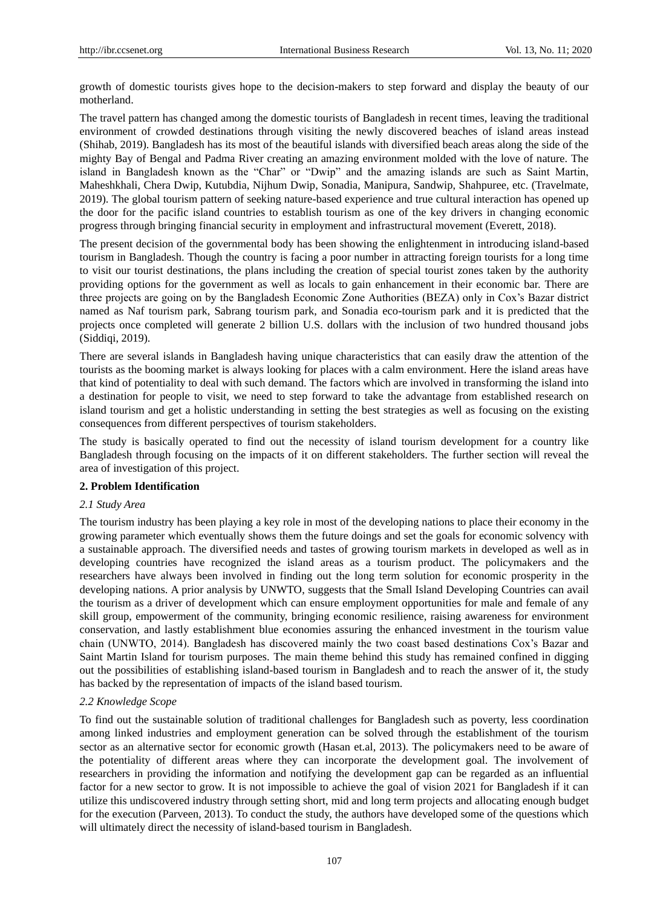growth of domestic tourists gives hope to the decision-makers to step forward and display the beauty of our motherland.

The travel pattern has changed among the domestic tourists of Bangladesh in recent times, leaving the traditional environment of crowded destinations through visiting the newly discovered beaches of island areas instead (Shihab, 2019). Bangladesh has its most of the beautiful islands with diversified beach areas along the side of the mighty Bay of Bengal and Padma River creating an amazing environment molded with the love of nature. The island in Bangladesh known as the "Char" or "Dwip" and the amazing islands are such as Saint Martin, Maheshkhali, Chera Dwip, Kutubdia, Nijhum Dwip, Sonadia, Manipura, Sandwip, Shahpuree, etc. (Travelmate, 2019). The global tourism pattern of seeking nature-based experience and true cultural interaction has opened up the door for the pacific island countries to establish tourism as one of the key drivers in changing economic progress through bringing financial security in employment and infrastructural movement (Everett, 2018).

The present decision of the governmental body has been showing the enlightenment in introducing island-based tourism in Bangladesh. Though the country is facing a poor number in attracting foreign tourists for a long time to visit our tourist destinations, the plans including the creation of special tourist zones taken by the authority providing options for the government as well as locals to gain enhancement in their economic bar. There are three projects are going on by the Bangladesh Economic Zone Authorities (BEZA) only in Cox"s Bazar district named as Naf tourism park, Sabrang tourism park, and Sonadia eco-tourism park and it is predicted that the projects once completed will generate 2 billion U.S. dollars with the inclusion of two hundred thousand jobs (Siddiqi, 2019).

There are several islands in Bangladesh having unique characteristics that can easily draw the attention of the tourists as the booming market is always looking for places with a calm environment. Here the island areas have that kind of potentiality to deal with such demand. The factors which are involved in transforming the island into a destination for people to visit, we need to step forward to take the advantage from established research on island tourism and get a holistic understanding in setting the best strategies as well as focusing on the existing consequences from different perspectives of tourism stakeholders.

The study is basically operated to find out the necessity of island tourism development for a country like Bangladesh through focusing on the impacts of it on different stakeholders. The further section will reveal the area of investigation of this project.

## **2. Problem Identification**

## *2.1 Study Area*

The tourism industry has been playing a key role in most of the developing nations to place their economy in the growing parameter which eventually shows them the future doings and set the goals for economic solvency with a sustainable approach. The diversified needs and tastes of growing tourism markets in developed as well as in developing countries have recognized the island areas as a tourism product. The policymakers and the researchers have always been involved in finding out the long term solution for economic prosperity in the developing nations. A prior analysis by UNWTO, suggests that the Small Island Developing Countries can avail the tourism as a driver of development which can ensure employment opportunities for male and female of any skill group, empowerment of the community, bringing economic resilience, raising awareness for environment conservation, and lastly establishment blue economies assuring the enhanced investment in the tourism value chain (UNWTO, 2014). Bangladesh has discovered mainly the two coast based destinations Cox"s Bazar and Saint Martin Island for tourism purposes. The main theme behind this study has remained confined in digging out the possibilities of establishing island-based tourism in Bangladesh and to reach the answer of it, the study has backed by the representation of impacts of the island based tourism.

## *2.2 Knowledge Scope*

To find out the sustainable solution of traditional challenges for Bangladesh such as poverty, less coordination among linked industries and employment generation can be solved through the establishment of the tourism sector as an alternative sector for economic growth (Hasan et.al, 2013). The policymakers need to be aware of the potentiality of different areas where they can incorporate the development goal. The involvement of researchers in providing the information and notifying the development gap can be regarded as an influential factor for a new sector to grow. It is not impossible to achieve the goal of vision 2021 for Bangladesh if it can utilize this undiscovered industry through setting short, mid and long term projects and allocating enough budget for the execution (Parveen, 2013). To conduct the study, the authors have developed some of the questions which will ultimately direct the necessity of island-based tourism in Bangladesh.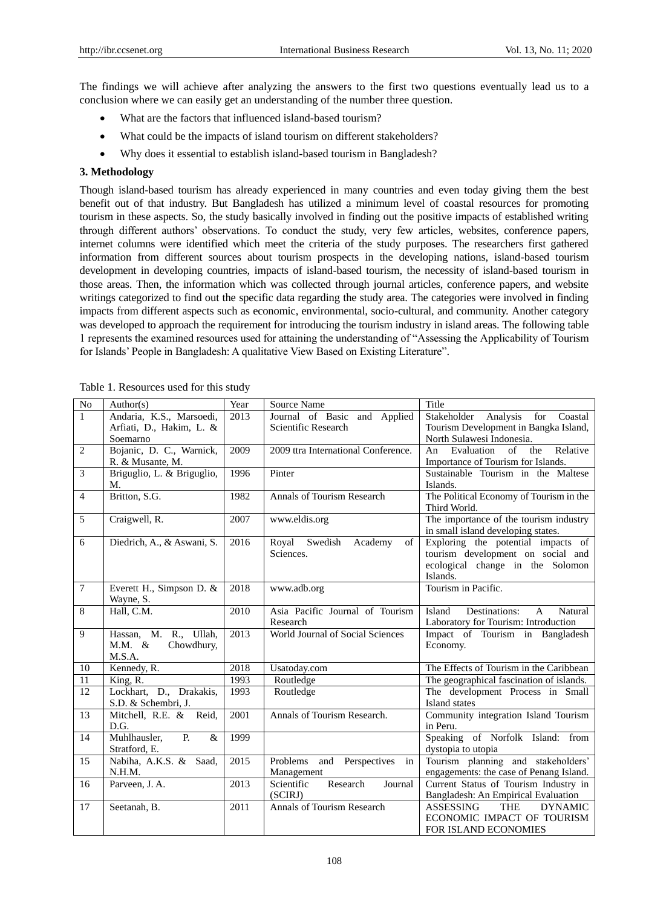The findings we will achieve after analyzing the answers to the first two questions eventually lead us to a conclusion where we can easily get an understanding of the number three question.

- What are the factors that influenced island-based tourism?
- What could be the impacts of island tourism on different stakeholders?
- Why does it essential to establish island-based tourism in Bangladesh?

## **3. Methodology**

Though island-based tourism has already experienced in many countries and even today giving them the best benefit out of that industry. But Bangladesh has utilized a minimum level of coastal resources for promoting tourism in these aspects. So, the study basically involved in finding out the positive impacts of established writing through different authors" observations. To conduct the study, very few articles, websites, conference papers, internet columns were identified which meet the criteria of the study purposes. The researchers first gathered information from different sources about tourism prospects in the developing nations, island-based tourism development in developing countries, impacts of island-based tourism, the necessity of island-based tourism in those areas. Then, the information which was collected through journal articles, conference papers, and website writings categorized to find out the specific data regarding the study area. The categories were involved in finding impacts from different aspects such as economic, environmental, socio-cultural, and community. Another category was developed to approach the requirement for introducing the tourism industry in island areas. The following table 1 represents the examined resources used for attaining the understanding of "Assessing the Applicability of Tourism for Islands" People in Bangladesh: A qualitative View Based on Existing Literature".

| N <sub>o</sub>  | Author(s)                                                        | Year | Source Name                                         | Title                                                                                                                   |
|-----------------|------------------------------------------------------------------|------|-----------------------------------------------------|-------------------------------------------------------------------------------------------------------------------------|
| $\overline{1}$  | Andaria, K.S., Marsoedi,<br>Arfiati, D., Hakim, L. &<br>Soemarno | 2013 | Journal of Basic and Applied<br>Scientific Research | Stakeholder Analysis for<br>Coastal<br>Tourism Development in Bangka Island,<br>North Sulawesi Indonesia.               |
| $\overline{2}$  | Bojanic, D. C., Warnick,<br>R. & Musante, M.                     | 2009 | 2009 ttra International Conference.                 | Evaluation<br>of<br>the<br>Relative<br>An<br>Importance of Tourism for Islands.                                         |
| $\overline{3}$  | Briguglio, L. & Briguglio,<br>M.                                 | 1996 | Pinter                                              | Sustainable Tourism in the Maltese<br>Islands.                                                                          |
| $\overline{4}$  | Britton, S.G.                                                    | 1982 | Annals of Tourism Research                          | The Political Economy of Tourism in the<br>Third World.                                                                 |
| 5               | Craigwell, R.                                                    | 2007 | www.eldis.org                                       | The importance of the tourism industry<br>in small island developing states.                                            |
| 6               | Diedrich, A., & Aswani, S.                                       | 2016 | Royal Swedish<br>Academy<br>of<br>Sciences.         | Exploring the potential impacts of<br>tourism development on social and<br>ecological change in the Solomon<br>Islands. |
| $\overline{7}$  | Everett H., Simpson D. &<br>Wayne, S.                            | 2018 | www.adb.org                                         | Tourism in Pacific.                                                                                                     |
| 8               | Hall, C.M.                                                       | 2010 | Asia Pacific Journal of Tourism<br>Research         | Destinations:<br>Natural<br>Island<br>$\mathsf{A}$<br>Laboratory for Tourism: Introduction                              |
| 9               | Hassan, M. R., Ullah,<br>Chowdhury,<br>$M.M. \&$<br>M.S.A.       | 2013 | World Journal of Social Sciences                    | Impact of Tourism in Bangladesh<br>Economy.                                                                             |
| 10              | Kennedy, R.                                                      | 2018 | Usatoday.com                                        | The Effects of Tourism in the Caribbean                                                                                 |
| $\overline{11}$ | King, R.                                                         | 1993 | Routledge                                           | The geographical fascination of islands.                                                                                |
| 12              | Lockhart, D., Drakakis,<br>S.D. & Schembri, J.                   | 1993 | Routledge                                           | The development Process in Small<br>Island states                                                                       |
| 13              | Mitchell, R.E. & Reid,<br>D.G.                                   | 2001 | Annals of Tourism Research.                         | Community integration Island Tourism<br>in Peru.                                                                        |
| 14              | Muhlhausler,<br>$P_{1}$<br>$\&$<br>Stratford, E.                 | 1999 |                                                     | Speaking of Norfolk Island: from<br>dystopia to utopia                                                                  |
| 15              | Nabiha, A.K.S. & Saad,<br>N.H.M.                                 | 2015 | Problems<br>and Perspectives<br>in<br>Management    | Tourism planning and stakeholders'<br>engagements: the case of Penang Island.                                           |
| 16              | Parveen, J. A.                                                   | 2013 | Scientific<br>Research<br>Journal<br>(SCIRJ)        | Current Status of Tourism Industry in<br>Bangladesh: An Empirical Evaluation                                            |
| 17              | Seetanah, B.                                                     | 2011 | <b>Annals of Tourism Research</b>                   | <b>ASSESSING</b><br><b>THE</b><br><b>DYNAMIC</b><br>ECONOMIC IMPACT OF TOURISM<br>FOR ISLAND ECONOMIES                  |

|  |  | Table 1. Resources used for this study |  |  |  |  |
|--|--|----------------------------------------|--|--|--|--|
|--|--|----------------------------------------|--|--|--|--|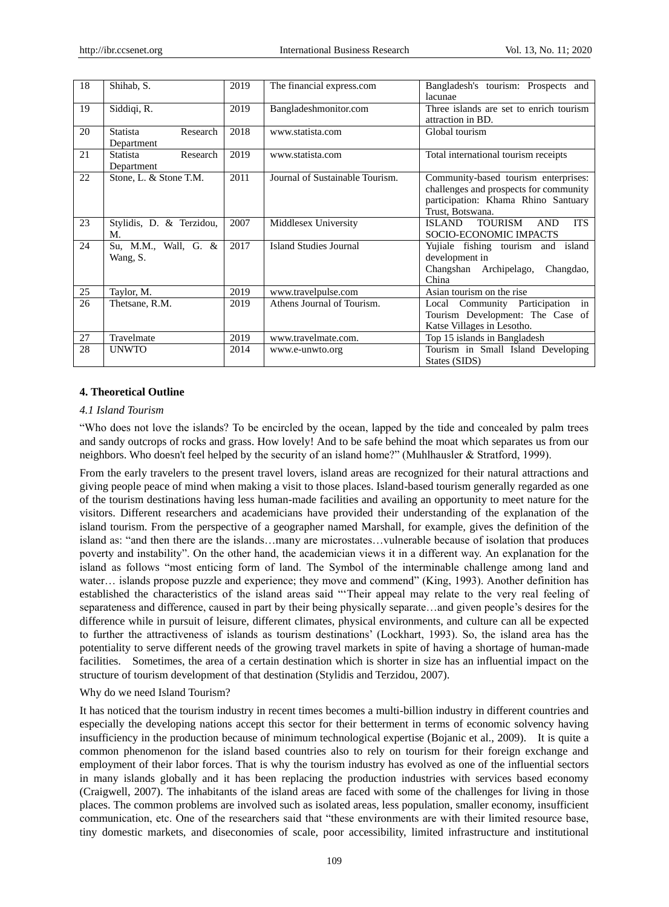| 18 | Shihab, S.                                | 2019 | The financial express.com       | Bangladesh's tourism: Prospects and<br>lacunae                                                                                            |
|----|-------------------------------------------|------|---------------------------------|-------------------------------------------------------------------------------------------------------------------------------------------|
| 19 | Siddiqi, R.                               | 2019 | Bangladeshmonitor.com           | Three islands are set to enrich tourism<br>attraction in BD.                                                                              |
| 20 | <b>Statista</b><br>Research<br>Department | 2018 | www.statista.com                | Global tourism                                                                                                                            |
| 21 | Research<br><b>Statista</b><br>Department | 2019 | www.statista.com                | Total international tourism receipts                                                                                                      |
| 22 | Stone, L. & Stone T.M.                    | 2011 | Journal of Sustainable Tourism. | Community-based tourism enterprises:<br>challenges and prospects for community<br>participation: Khama Rhino Santuary<br>Trust, Botswana. |
| 23 | Stylidis, D. & Terzidou,<br>M.            | 2007 | Middlesex University            | <b>TOURISM</b><br><b>ITS</b><br><b>ISLAND</b><br><b>AND</b><br>SOCIO-ECONOMIC IMPACTS                                                     |
| 24 | Su, M.M., Wall, G. &<br>Wang, S.          | 2017 | <b>Island Studies Journal</b>   | Yujiale fishing tourism and island<br>development in<br>Changshan Archipelago,<br>Changdao,<br>China                                      |
| 25 | Taylor, M.                                | 2019 | www.travelpulse.com             | Asian tourism on the rise                                                                                                                 |
| 26 | Thetsane, R.M.                            | 2019 | Athens Journal of Tourism.      | Local Community Participation<br>in<br>Tourism Development: The Case of<br>Katse Villages in Lesotho.                                     |
| 27 | Travelmate                                | 2019 | www.travelmate.com.             | Top 15 islands in Bangladesh                                                                                                              |
| 28 | <b>UNWTO</b>                              | 2014 | www.e-unwto.org                 | Tourism in Small Island Developing<br>States (SIDS)                                                                                       |

## **4. Theoretical Outline**

#### *4.1 Island Tourism*

"Who does not love the islands? To be encircled by the ocean, lapped by the tide and concealed by palm trees and sandy outcrops of rocks and grass. How lovely! And to be safe behind the moat which separates us from our neighbors. Who doesn't feel helped by the security of an island home?" (Muhlhausler & Stratford, 1999).

From the early travelers to the present travel lovers, island areas are recognized for their natural attractions and giving people peace of mind when making a visit to those places. Island-based tourism generally regarded as one of the tourism destinations having less human-made facilities and availing an opportunity to meet nature for the visitors. Different researchers and academicians have provided their understanding of the explanation of the island tourism. From the perspective of a geographer named Marshall, for example, gives the definition of the island as: "and then there are the islands…many are microstates…vulnerable because of isolation that produces poverty and instability". On the other hand, the academician views it in a different way. An explanation for the island as follows "most enticing form of land. The Symbol of the interminable challenge among land and water... islands propose puzzle and experience; they move and commend" (King, 1993). Another definition has established the characteristics of the island areas said ""Their appeal may relate to the very real feeling of separateness and difference, caused in part by their being physically separate…and given people's desires for the difference while in pursuit of leisure, different climates, physical environments, and culture can all be expected to further the attractiveness of islands as tourism destinations" (Lockhart, 1993). So, the island area has the potentiality to serve different needs of the growing travel markets in spite of having a shortage of human-made facilities. Sometimes, the area of a certain destination which is shorter in size has an influential impact on the structure of tourism development of that destination (Stylidis and Terzidou, 2007).

#### Why do we need Island Tourism?

It has noticed that the tourism industry in recent times becomes a multi-billion industry in different countries and especially the developing nations accept this sector for their betterment in terms of economic solvency having insufficiency in the production because of minimum technological expertise (Bojanic et al., 2009). It is quite a common phenomenon for the island based countries also to rely on tourism for their foreign exchange and employment of their labor forces. That is why the tourism industry has evolved as one of the influential sectors in many islands globally and it has been replacing the production industries with services based economy (Craigwell, 2007). The inhabitants of the island areas are faced with some of the challenges for living in those places. The common problems are involved such as isolated areas, less population, smaller economy, insufficient communication, etc. One of the researchers said that "these environments are with their limited resource base, tiny domestic markets, and diseconomies of scale, poor accessibility, limited infrastructure and institutional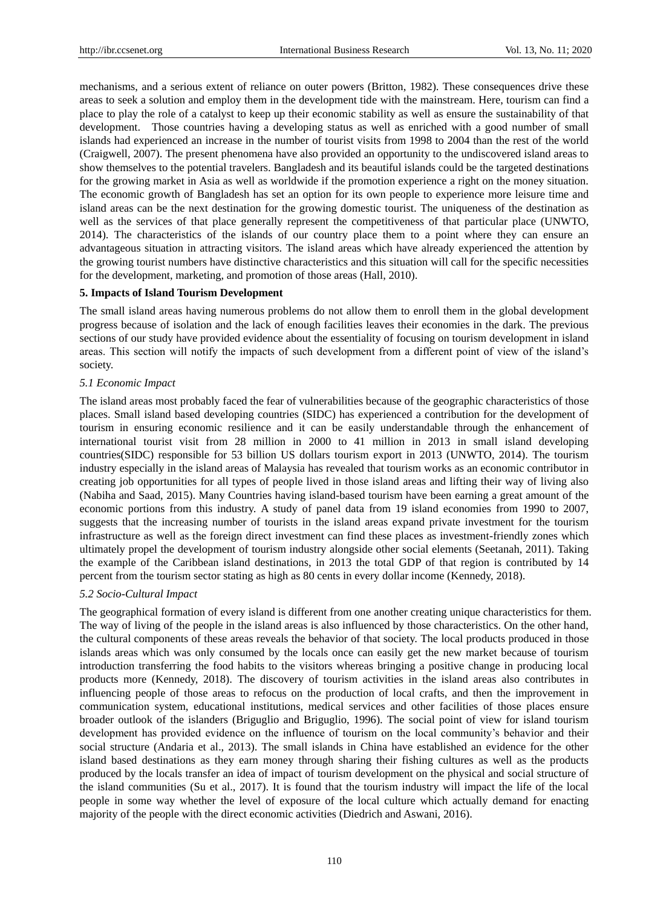mechanisms, and a serious extent of reliance on outer powers (Britton, 1982). These consequences drive these areas to seek a solution and employ them in the development tide with the mainstream. Here, tourism can find a place to play the role of a catalyst to keep up their economic stability as well as ensure the sustainability of that development. Those countries having a developing status as well as enriched with a good number of small islands had experienced an increase in the number of tourist visits from 1998 to 2004 than the rest of the world (Craigwell, 2007). The present phenomena have also provided an opportunity to the undiscovered island areas to show themselves to the potential travelers. Bangladesh and its beautiful islands could be the targeted destinations for the growing market in Asia as well as worldwide if the promotion experience a right on the money situation. The economic growth of Bangladesh has set an option for its own people to experience more leisure time and island areas can be the next destination for the growing domestic tourist. The uniqueness of the destination as well as the services of that place generally represent the competitiveness of that particular place (UNWTO, 2014). The characteristics of the islands of our country place them to a point where they can ensure an advantageous situation in attracting visitors. The island areas which have already experienced the attention by the growing tourist numbers have distinctive characteristics and this situation will call for the specific necessities for the development, marketing, and promotion of those areas (Hall, 2010).

### **5. Impacts of Island Tourism Development**

The small island areas having numerous problems do not allow them to enroll them in the global development progress because of isolation and the lack of enough facilities leaves their economies in the dark. The previous sections of our study have provided evidence about the essentiality of focusing on tourism development in island areas. This section will notify the impacts of such development from a different point of view of the island"s society.

## *5.1 Economic Impact*

The island areas most probably faced the fear of vulnerabilities because of the geographic characteristics of those places. Small island based developing countries (SIDC) has experienced a contribution for the development of tourism in ensuring economic resilience and it can be easily understandable through the enhancement of international tourist visit from 28 million in 2000 to 41 million in 2013 in small island developing countries(SIDC) responsible for 53 billion US dollars tourism export in 2013 (UNWTO, 2014). The tourism industry especially in the island areas of Malaysia has revealed that tourism works as an economic contributor in creating job opportunities for all types of people lived in those island areas and lifting their way of living also (Nabiha and Saad, 2015). Many Countries having island-based tourism have been earning a great amount of the economic portions from this industry. A study of panel data from 19 island economies from 1990 to 2007, suggests that the increasing number of tourists in the island areas expand private investment for the tourism infrastructure as well as the foreign direct investment can find these places as investment-friendly zones which ultimately propel the development of tourism industry alongside other social elements (Seetanah, 2011). Taking the example of the Caribbean island destinations, in 2013 the total GDP of that region is contributed by 14 percent from the tourism sector stating as high as 80 cents in every dollar income (Kennedy, 2018).

### *5.2 Socio-Cultural Impact*

The geographical formation of every island is different from one another creating unique characteristics for them. The way of living of the people in the island areas is also influenced by those characteristics. On the other hand, the cultural components of these areas reveals the behavior of that society. The local products produced in those islands areas which was only consumed by the locals once can easily get the new market because of tourism introduction transferring the food habits to the visitors whereas bringing a positive change in producing local products more (Kennedy, 2018). The discovery of tourism activities in the island areas also contributes in influencing people of those areas to refocus on the production of local crafts, and then the improvement in communication system, educational institutions, medical services and other facilities of those places ensure broader outlook of the islanders (Briguglio and Briguglio, 1996). The social point of view for island tourism development has provided evidence on the influence of tourism on the local community"s behavior and their social structure (Andaria et al., 2013). The small islands in China have established an evidence for the other island based destinations as they earn money through sharing their fishing cultures as well as the products produced by the locals transfer an idea of impact of tourism development on the physical and social structure of the island communities (Su et al., 2017). It is found that the tourism industry will impact the life of the local people in some way whether the level of exposure of the local culture which actually demand for enacting majority of the people with the direct economic activities (Diedrich and Aswani, 2016).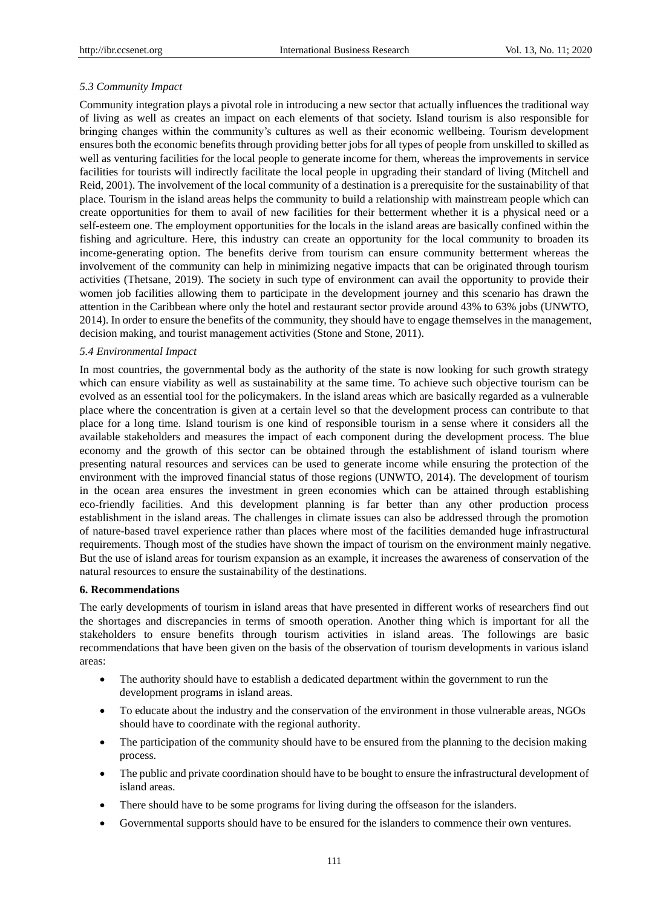#### *5.3 Community Impact*

Community integration plays a pivotal role in introducing a new sector that actually influences the traditional way of living as well as creates an impact on each elements of that society. Island tourism is also responsible for bringing changes within the community"s cultures as well as their economic wellbeing. Tourism development ensures both the economic benefits through providing better jobs for all types of people from unskilled to skilled as well as venturing facilities for the local people to generate income for them, whereas the improvements in service facilities for tourists will indirectly facilitate the local people in upgrading their standard of living (Mitchell and Reid, 2001). The involvement of the local community of a destination is a prerequisite for the sustainability of that place. Tourism in the island areas helps the community to build a relationship with mainstream people which can create opportunities for them to avail of new facilities for their betterment whether it is a physical need or a self-esteem one. The employment opportunities for the locals in the island areas are basically confined within the fishing and agriculture. Here, this industry can create an opportunity for the local community to broaden its income-generating option. The benefits derive from tourism can ensure community betterment whereas the involvement of the community can help in minimizing negative impacts that can be originated through tourism activities (Thetsane, 2019). The society in such type of environment can avail the opportunity to provide their women job facilities allowing them to participate in the development journey and this scenario has drawn the attention in the Caribbean where only the hotel and restaurant sector provide around 43% to 63% jobs (UNWTO, 2014). In order to ensure the benefits of the community, they should have to engage themselves in the management, decision making, and tourist management activities (Stone and Stone, 2011).

#### *5.4 Environmental Impact*

In most countries, the governmental body as the authority of the state is now looking for such growth strategy which can ensure viability as well as sustainability at the same time. To achieve such objective tourism can be evolved as an essential tool for the policymakers. In the island areas which are basically regarded as a vulnerable place where the concentration is given at a certain level so that the development process can contribute to that place for a long time. Island tourism is one kind of responsible tourism in a sense where it considers all the available stakeholders and measures the impact of each component during the development process. The blue economy and the growth of this sector can be obtained through the establishment of island tourism where presenting natural resources and services can be used to generate income while ensuring the protection of the environment with the improved financial status of those regions (UNWTO, 2014). The development of tourism in the ocean area ensures the investment in green economies which can be attained through establishing eco-friendly facilities. And this development planning is far better than any other production process establishment in the island areas. The challenges in climate issues can also be addressed through the promotion of nature-based travel experience rather than places where most of the facilities demanded huge infrastructural requirements. Though most of the studies have shown the impact of tourism on the environment mainly negative. But the use of island areas for tourism expansion as an example, it increases the awareness of conservation of the natural resources to ensure the sustainability of the destinations.

#### **6. Recommendations**

The early developments of tourism in island areas that have presented in different works of researchers find out the shortages and discrepancies in terms of smooth operation. Another thing which is important for all the stakeholders to ensure benefits through tourism activities in island areas. The followings are basic recommendations that have been given on the basis of the observation of tourism developments in various island areas:

- The authority should have to establish a dedicated department within the government to run the development programs in island areas.
- To educate about the industry and the conservation of the environment in those vulnerable areas, NGOs should have to coordinate with the regional authority.
- The participation of the community should have to be ensured from the planning to the decision making process.
- The public and private coordination should have to be bought to ensure the infrastructural development of island areas.
- There should have to be some programs for living during the offseason for the islanders.
- Governmental supports should have to be ensured for the islanders to commence their own ventures.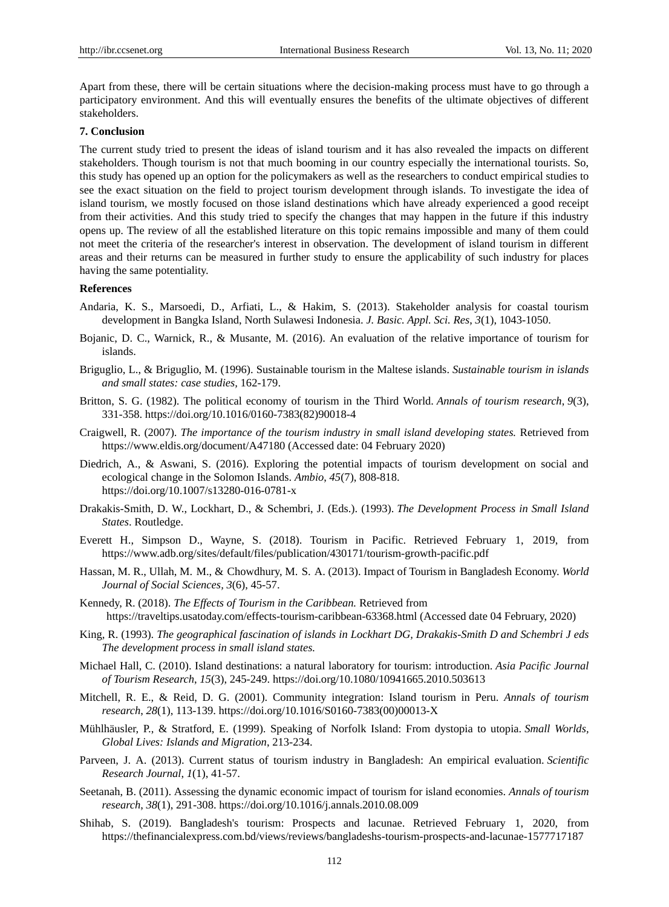Apart from these, there will be certain situations where the decision-making process must have to go through a participatory environment. And this will eventually ensures the benefits of the ultimate objectives of different stakeholders.

## **7. Conclusion**

The current study tried to present the ideas of island tourism and it has also revealed the impacts on different stakeholders. Though tourism is not that much booming in our country especially the international tourists. So, this study has opened up an option for the policymakers as well as the researchers to conduct empirical studies to see the exact situation on the field to project tourism development through islands. To investigate the idea of island tourism, we mostly focused on those island destinations which have already experienced a good receipt from their activities. And this study tried to specify the changes that may happen in the future if this industry opens up. The review of all the established literature on this topic remains impossible and many of them could not meet the criteria of the researcher's interest in observation. The development of island tourism in different areas and their returns can be measured in further study to ensure the applicability of such industry for places having the same potentiality.

## **References**

- Andaria, K. S., Marsoedi, D., Arfiati, L., & Hakim, S. (2013). Stakeholder analysis for coastal tourism development in Bangka Island, North Sulawesi Indonesia. *J. Basic. Appl. Sci. Res*, *3*(1), 1043-1050.
- Bojanic, D. C., Warnick, R., & Musante, M. (2016). An evaluation of the relative importance of tourism for islands.
- Briguglio, L., & Briguglio, M. (1996). Sustainable tourism in the Maltese islands. *Sustainable tourism in islands and small states: case studies,* 162-179.
- Britton, S. G. (1982). The political economy of tourism in the Third World. *Annals of tourism research*, *9*(3), 331-358. https://doi.org/10.1016/0160-7383(82)90018-4
- Craigwell, R. (2007). *The importance of the tourism industry in small island developing states.* Retrieved from <https://www.eldis.org/document/A47180> (Accessed date: 04 February 2020)
- Diedrich, A., & Aswani, S. (2016). Exploring the potential impacts of tourism development on social and ecological change in the Solomon Islands. *Ambio*, *45*(7), 808-818. https://doi.org/10.1007/s13280-016-0781-x
- Drakakis-Smith, D. W., Lockhart, D., & Schembri, J. (Eds.). (1993). *The Development Process in Small Island States*. Routledge.
- Everett H., Simpson D., Wayne, S. (2018). Tourism in Pacific. Retrieved February 1, 2019, from <https://www.adb.org/sites/default/files/publication/430171/tourism-growth-pacific.pdf>
- Hassan, M. R., Ullah, M. M., & Chowdhury, M. S. A. (2013). Impact of Tourism in Bangladesh Economy. *World Journal of Social Sciences, 3*(6), 45-57.
- Kennedy, R. (2018). *The Effects of Tourism in the Caribbean.* Retrieved from https://traveltips.usatoday.com/effects-tourism-caribbean-63368.html (Accessed date 04 February, 2020)
- King, R. (1993). *The geographical fascination of islands in Lockhart DG, Drakakis-Smith D and Schembri J eds The development process in small island states.*
- Michael Hall, C. (2010). Island destinations: a natural laboratory for tourism: introduction. *Asia Pacific Journal of Tourism Research*, *15*(3), 245-249. https://doi.org/10.1080/10941665.2010.503613
- Mitchell, R. E., & Reid, D. G. (2001). Community integration: Island tourism in Peru. *Annals of tourism research*, *28*(1), 113-139. https://doi.org/10.1016/S0160-7383(00)00013-X
- Mühlhäusler, P., & Stratford, E. (1999). Speaking of Norfolk Island: From dystopia to utopia. *Small Worlds, Global Lives: Islands and Migration*, 213-234.
- Parveen, J. A. (2013). Current status of tourism industry in Bangladesh: An empirical evaluation. *Scientific Research Journal*, *1*(1), 41-57.
- Seetanah, B. (2011). Assessing the dynamic economic impact of tourism for island economies. *Annals of tourism research*, *38*(1), 291-308. https://doi.org/10.1016/j.annals.2010.08.009
- Shihab, S. (2019). Bangladesh's tourism: Prospects and lacunae. Retrieved February 1, 2020, from <https://thefinancialexpress.com.bd/views/reviews/bangladeshs-tourism-prospects-and-lacunae-1577717187>